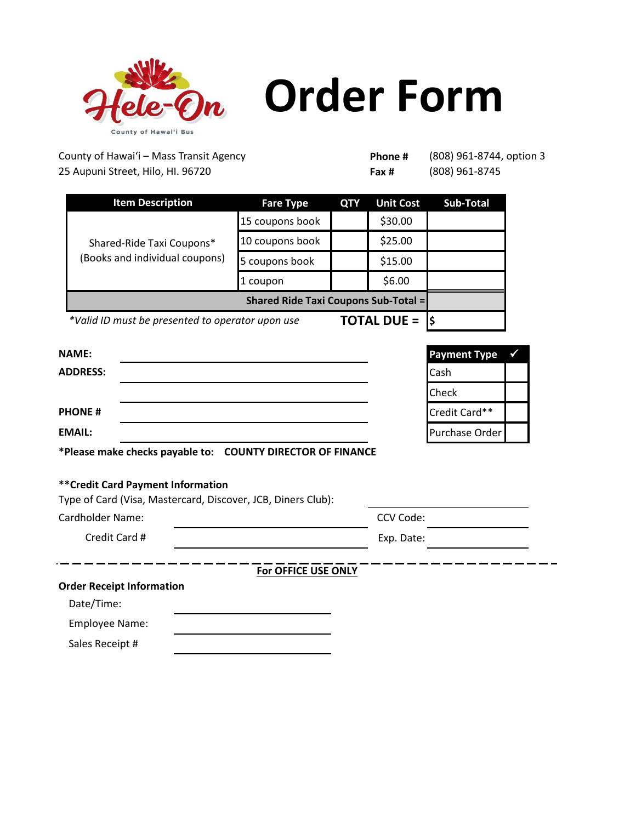

## **Order Form**

County of Hawaiʻi – Mass Transit Agency 25 Aupuni Street, Hilo, HI. 96720

**Phone # Fax #** 

(808) 961-8744, option 3 (808) 961-8745

| <b>Item Description</b>                                                | <b>Fare Type</b>                            | <b>QTY</b> | <b>Unit Cost</b> | <b>Sub-Total</b> |
|------------------------------------------------------------------------|---------------------------------------------|------------|------------------|------------------|
| Shared-Ride Taxi Coupons*<br>(Books and individual coupons)            | 15 coupons book                             |            | \$30.00          |                  |
|                                                                        | 10 coupons book                             |            | \$25.00          |                  |
|                                                                        | 5 coupons book                              |            | \$15.00          |                  |
|                                                                        | 1 coupon                                    |            | \$6.00           |                  |
|                                                                        | <b>Shared Ride Taxi Coupons Sub-Total =</b> |            |                  |                  |
| <b>TOTAL DUE =</b><br>*Valid ID must be presented to operator upon use |                                             |            |                  |                  |

| <b>NAME:</b>                                                   | <b>Payment Type</b><br>$\checkmark$ |  |
|----------------------------------------------------------------|-------------------------------------|--|
| <b>ADDRESS:</b>                                                | <b>Cash</b>                         |  |
|                                                                | <b>Check</b>                        |  |
| <b>PHONE#</b>                                                  | Credit Card**                       |  |
| <b>EMAIL:</b>                                                  | Purchase Order                      |  |
| <b>ENTITLE IN THE STATE OF A STATE OF PURPOSE OF FIXEARLAP</b> |                                     |  |

**\*Please make checks payable to: COUNTY DIRECTOR OF FINANCE**

## **\*\*Credit Card Payment Information**

| Type of Card (Visa, Mastercard, Discover, JCB, Diners Club): |
|--------------------------------------------------------------|
| CCV Code:                                                    |
| Exp. Date:                                                   |
| For OFFICE USE ONLY                                          |
|                                                              |